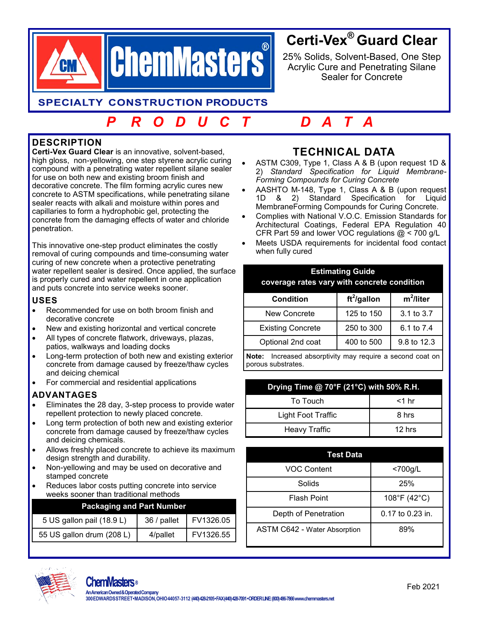

# **Certi-Vex® Guard Clear**

25% Solids, Solvent-Based, One Step Acrylic Cure and Penetrating Silane Sealer for Concrete

**SPECIALTY CONSTRUCTION PRODUCTS** 

# *P R O D U C T D A T A*

# **DESCRIPTION**

**Certi-Vex Guard Clear** is an innovative, solvent-based, high gloss, non-yellowing, one step styrene acrylic curing compound with a penetrating water repellent silane sealer for use on both new and existing broom finish and decorative concrete. The film forming acrylic cures new concrete to ASTM specifications, while penetrating silane sealer reacts with alkali and moisture within pores and capillaries to form a hydrophobic gel, protecting the concrete from the damaging effects of water and chloride penetration.

This innovative one-step product eliminates the costly removal of curing compounds and time-consuming water curing of new concrete when a protective penetrating water repellent sealer is desired. Once applied, the surface is properly cured and water repellent in one application and puts concrete into service weeks sooner.

### **USES**

- Recommended for use on both broom finish and decorative concrete
- New and existing horizontal and vertical concrete
- All types of concrete flatwork, driveways, plazas, patios, walkways and loading docks
- Long-term protection of both new and existing exterior concrete from damage caused by freeze/thaw cycles and deicing chemical
- For commercial and residential applications

## **ADVANTAGES**

- Eliminates the 28 day, 3-step process to provide water repellent protection to newly placed concrete.
- Long term protection of both new and existing exterior concrete from damage caused by freeze/thaw cycles and deicing chemicals.
- Allows freshly placed concrete to achieve its maximum design strength and durability.
- Non-yellowing and may be used on decorative and stamped concrete
- Reduces labor costs putting concrete into service weeks sooner than traditional methods

| <b>Packaging and Part Number</b> |             |           |  |  |
|----------------------------------|-------------|-----------|--|--|
| 5 US gallon pail (18.9 L)        | 36 / pallet | FV1326.05 |  |  |
| 55 US gallon drum (208 L)        | 4/pallet    | FV1326.55 |  |  |

# **TECHNICAL DATA**

- ASTM C309, Type 1, Class A & B (upon request 1D & 2) *Standard Specification for Liquid Membrane-Forming Compounds for Curing Concrete*
- AASHTO M-148, Type 1, Class A & B (upon request 1D & 2) Standard Specification for Liquid MembraneForming Compounds for Curing Concrete.
- Complies with National V.O.C. Emission Standards for Architectural Coatings, Federal EPA Regulation 40 CFR Part 59 and lower VOC regulations @ < 700 g/L
- Meets USDA requirements for incidental food contact when fully cured

| <b>Estimating Guide</b><br>coverage rates vary with concrete condition |                |              |  |
|------------------------------------------------------------------------|----------------|--------------|--|
| <b>Condition</b>                                                       | $ft^2$ /gallon | $m^2$ /liter |  |
| New Concrete                                                           | 125 to 150     | 3.1 to 3.7   |  |
| <b>Existing Concrete</b>                                               | 250 to 300     | 6.1 to 7.4   |  |
| Optional 2nd coat                                                      | 400 to 500     | 9.8 to 12.3  |  |
|                                                                        |                |              |  |

**Note:** Increased absorptivity may require a second coat on porous substrates.

| Drying Time @ 70°F (21°C) with 50% R.H. |          |  |  |
|-----------------------------------------|----------|--|--|
| To Touch                                | $<$ 1 hr |  |  |
| Light Foot Traffic                      | 8 hrs    |  |  |
| <b>Heavy Traffic</b>                    | $12$ hrs |  |  |

| Test Data                    |                      |  |  |
|------------------------------|----------------------|--|--|
| <b>VOC Content</b>           | $<$ 700g/L           |  |  |
| Solids                       | 25%                  |  |  |
| <b>Flash Point</b>           | 108°F (42°C)         |  |  |
| Depth of Penetration         | $0.17$ to $0.23$ in. |  |  |
| ASTM C642 - Water Absorption | 89%                  |  |  |